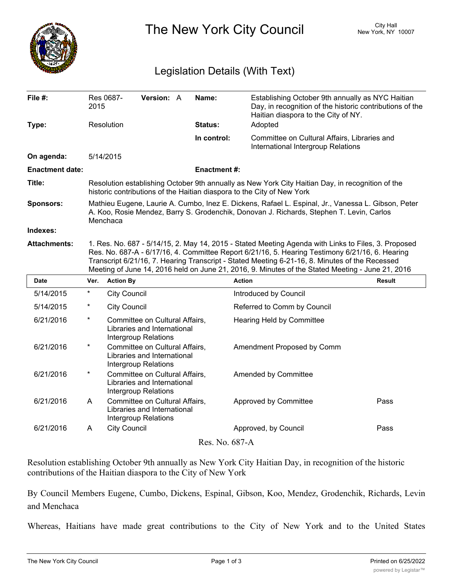

The New York City Council New York, NY 10007

## Legislation Details (With Text)

| File $#$ :             | 2015                                                                                                                                                                                                                                                                                                                                                                                                         | Res 0687-           | <b>Version: A</b> |  | Name:          | Establishing October 9th annually as NYC Haitian<br>Day, in recognition of the historic contributions of the |               |  |
|------------------------|--------------------------------------------------------------------------------------------------------------------------------------------------------------------------------------------------------------------------------------------------------------------------------------------------------------------------------------------------------------------------------------------------------------|---------------------|-------------------|--|----------------|--------------------------------------------------------------------------------------------------------------|---------------|--|
|                        |                                                                                                                                                                                                                                                                                                                                                                                                              |                     |                   |  |                | Haitian diaspora to the City of NY.                                                                          |               |  |
| Type:                  |                                                                                                                                                                                                                                                                                                                                                                                                              | Resolution          |                   |  | <b>Status:</b> | Adopted                                                                                                      |               |  |
|                        |                                                                                                                                                                                                                                                                                                                                                                                                              |                     |                   |  | In control:    | Committee on Cultural Affairs, Libraries and<br>International Intergroup Relations                           |               |  |
| On agenda:             | 5/14/2015                                                                                                                                                                                                                                                                                                                                                                                                    |                     |                   |  |                |                                                                                                              |               |  |
| <b>Enactment date:</b> | <b>Enactment #:</b>                                                                                                                                                                                                                                                                                                                                                                                          |                     |                   |  |                |                                                                                                              |               |  |
| Title:                 | Resolution establishing October 9th annually as New York City Haitian Day, in recognition of the<br>historic contributions of the Haitian diaspora to the City of New York                                                                                                                                                                                                                                   |                     |                   |  |                |                                                                                                              |               |  |
| <b>Sponsors:</b>       | Mathieu Eugene, Laurie A. Cumbo, Inez E. Dickens, Rafael L. Espinal, Jr., Vanessa L. Gibson, Peter<br>A. Koo, Rosie Mendez, Barry S. Grodenchik, Donovan J. Richards, Stephen T. Levin, Carlos<br>Menchaca                                                                                                                                                                                                   |                     |                   |  |                |                                                                                                              |               |  |
| Indexes:               |                                                                                                                                                                                                                                                                                                                                                                                                              |                     |                   |  |                |                                                                                                              |               |  |
| <b>Attachments:</b>    | 1. Res. No. 687 - 5/14/15, 2. May 14, 2015 - Stated Meeting Agenda with Links to Files, 3. Proposed<br>Res. No. 687-A - 6/17/16, 4. Committee Report 6/21/16, 5. Hearing Testimony 6/21/16, 6. Hearing<br>Transcript 6/21/16, 7. Hearing Transcript - Stated Meeting 6-21-16, 8. Minutes of the Recessed<br>Meeting of June 14, 2016 held on June 21, 2016, 9. Minutes of the Stated Meeting - June 21, 2016 |                     |                   |  |                |                                                                                                              |               |  |
| <b>Date</b>            | Ver.                                                                                                                                                                                                                                                                                                                                                                                                         | <b>Action By</b>    |                   |  |                | <b>Action</b>                                                                                                | <b>Result</b> |  |
| 5/14/2015              | $^\star$                                                                                                                                                                                                                                                                                                                                                                                                     | <b>City Council</b> |                   |  |                | Introduced by Council                                                                                        |               |  |

| <u>JIHIZU IJ</u> |          | <b>UILY UUUILUIL</b>                                                                  | <b>INVESTOR DE CONTROL</b>  |      |  |  |  |  |
|------------------|----------|---------------------------------------------------------------------------------------|-----------------------------|------|--|--|--|--|
| 5/14/2015        | $^\ast$  | <b>City Council</b>                                                                   | Referred to Comm by Council |      |  |  |  |  |
| 6/21/2016        | $^\star$ | Committee on Cultural Affairs,<br>Libraries and International<br>Intergroup Relations | Hearing Held by Committee   |      |  |  |  |  |
| 6/21/2016        | $^\ast$  | Committee on Cultural Affairs,<br>Libraries and International<br>Intergroup Relations | Amendment Proposed by Comm  |      |  |  |  |  |
| 6/21/2016        | $\ast$   | Committee on Cultural Affairs,<br>Libraries and International<br>Intergroup Relations | <b>Amended by Committee</b> |      |  |  |  |  |
| 6/21/2016        | A        | Committee on Cultural Affairs,<br>Libraries and International<br>Intergroup Relations | Approved by Committee       | Pass |  |  |  |  |
| 6/21/2016        | A        | <b>City Council</b>                                                                   | Approved, by Council        | Pass |  |  |  |  |
| Res. No. 687-A   |          |                                                                                       |                             |      |  |  |  |  |
|                  |          |                                                                                       |                             |      |  |  |  |  |

Resolution establishing October 9th annually as New York City Haitian Day, in recognition of the historic contributions of the Haitian diaspora to the City of New York

By Council Members Eugene, Cumbo, Dickens, Espinal, Gibson, Koo, Mendez, Grodenchik, Richards, Levin and Menchaca

Whereas, Haitians have made great contributions to the City of New York and to the United States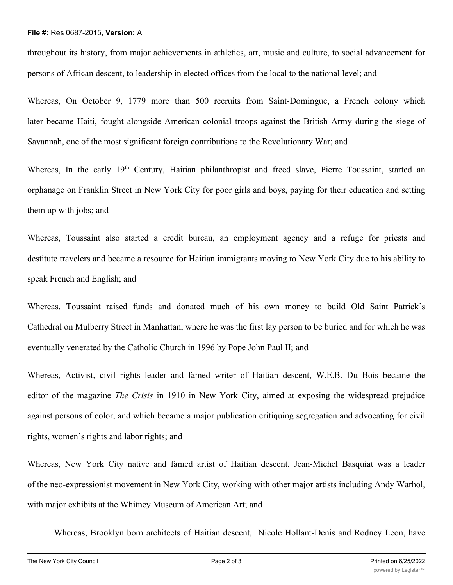## **File #:** Res 0687-2015, **Version:** A

throughout its history, from major achievements in athletics, art, music and culture, to social advancement for persons of African descent, to leadership in elected offices from the local to the national level; and

Whereas, On October 9, 1779 more than 500 recruits from Saint-Domingue, a French colony which later became Haiti, fought alongside American colonial troops against the British Army during the siege of Savannah, one of the most significant foreign contributions to the Revolutionary War; and

Whereas, In the early 19<sup>th</sup> Century, Haitian philanthropist and freed slave, Pierre Toussaint, started an orphanage on Franklin Street in New York City for poor girls and boys, paying for their education and setting them up with jobs; and

Whereas, Toussaint also started a credit bureau, an employment agency and a refuge for priests and destitute travelers and became a resource for Haitian immigrants moving to New York City due to his ability to speak French and English; and

Whereas, Toussaint raised funds and donated much of his own money to build Old Saint Patrick's Cathedral on Mulberry Street in Manhattan, where he was the first lay person to be buried and for which he was eventually venerated by the Catholic Church in 1996 by Pope John Paul II; and

Whereas, Activist, civil rights leader and famed writer of Haitian descent, W.E.B. Du Bois became the editor of the magazine *The Crisis* in 1910 in New York City, aimed at exposing the widespread prejudice against persons of color, and which became a major publication critiquing segregation and advocating for civil rights, women's rights and labor rights; and

Whereas, New York City native and famed artist of Haitian descent, Jean-Michel Basquiat was a leader of the neo-expressionist movement in New York City, working with other major artists including Andy Warhol, with major exhibits at the Whitney Museum of American Art; and

Whereas, Brooklyn born architects of Haitian descent, Nicole Hollant-Denis and Rodney Leon, have